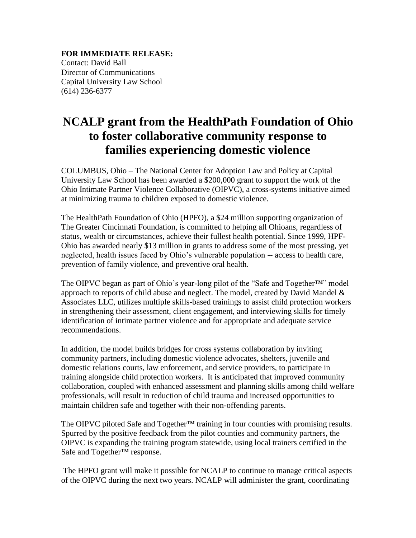**FOR IMMEDIATE RELEASE:**  Contact: David Ball Director of Communications Capital University Law School (614) 236-6377

## **NCALP grant from the HealthPath Foundation of Ohio to foster collaborative community response to families experiencing domestic violence**

COLUMBUS, Ohio – The National Center for Adoption Law and Policy at Capital University Law School has been awarded a \$200,000 grant to support the work of the Ohio Intimate Partner Violence Collaborative (OIPVC), a cross-systems initiative aimed at minimizing trauma to children exposed to domestic violence.

The HealthPath Foundation of Ohio (HPFO), a \$24 million supporting organization of The Greater Cincinnati Foundation, is committed to helping all Ohioans, regardless of status, wealth or circumstances, achieve their fullest health potential. Since 1999, HPF-Ohio has awarded nearly \$13 million in grants to address some of the most pressing, yet neglected, health issues faced by Ohio's vulnerable population -- access to health care, prevention of family violence, and preventive oral health.

The OIPVC began as part of Ohio's year-long pilot of the "Safe and Together™" model approach to reports of child abuse and neglect. The model, created by David Mandel & Associates LLC, utilizes multiple skills-based trainings to assist child protection workers in strengthening their assessment, client engagement, and interviewing skills for timely identification of intimate partner violence and for appropriate and adequate service recommendations.

In addition, the model builds bridges for cross systems collaboration by inviting community partners, including domestic violence advocates, shelters, juvenile and domestic relations courts, law enforcement, and service providers, to participate in training alongside child protection workers. It is anticipated that improved community collaboration, coupled with enhanced assessment and planning skills among child welfare professionals, will result in reduction of child trauma and increased opportunities to maintain children safe and together with their non-offending parents.

The OIPVC piloted Safe and Together<sup>™</sup> training in four counties with promising results. Spurred by the positive feedback from the pilot counties and community partners, the OIPVC is expanding the training program statewide, using local trainers certified in the Safe and Together™ response.

The HPFO grant will make it possible for NCALP to continue to manage critical aspects of the OIPVC during the next two years. NCALP will administer the grant, coordinating